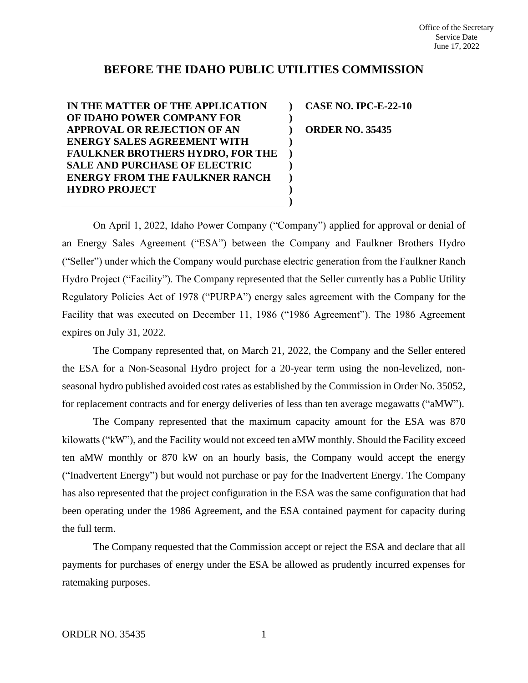## **BEFORE THE IDAHO PUBLIC UTILITIES COMMISSION**

**) ) ) ) ) ) ) ) )**

**IN THE MATTER OF THE APPLICATION OF IDAHO POWER COMPANY FOR APPROVAL OR REJECTION OF AN ENERGY SALES AGREEMENT WITH FAULKNER BROTHERS HYDRO, FOR THE SALE AND PURCHASE OF ELECTRIC ENERGY FROM THE FAULKNER RANCH HYDRO PROJECT**

**CASE NO. IPC-E-22-10 ORDER NO. 35435**

On April 1, 2022, Idaho Power Company ("Company") applied for approval or denial of an Energy Sales Agreement ("ESA") between the Company and Faulkner Brothers Hydro ("Seller") under which the Company would purchase electric generation from the Faulkner Ranch Hydro Project ("Facility"). The Company represented that the Seller currently has a Public Utility Regulatory Policies Act of 1978 ("PURPA") energy sales agreement with the Company for the Facility that was executed on December 11, 1986 ("1986 Agreement"). The 1986 Agreement expires on July 31, 2022.

The Company represented that, on March 21, 2022, the Company and the Seller entered the ESA for a Non-Seasonal Hydro project for a 20-year term using the non-levelized, nonseasonal hydro published avoided cost rates as established by the Commission in Order No. 35052, for replacement contracts and for energy deliveries of less than ten average megawatts ("aMW").

The Company represented that the maximum capacity amount for the ESA was 870 kilowatts ("kW"), and the Facility would not exceed ten aMW monthly. Should the Facility exceed ten aMW monthly or 870 kW on an hourly basis, the Company would accept the energy ("Inadvertent Energy") but would not purchase or pay for the Inadvertent Energy. The Company has also represented that the project configuration in the ESA was the same configuration that had been operating under the 1986 Agreement, and the ESA contained payment for capacity during the full term.

The Company requested that the Commission accept or reject the ESA and declare that all payments for purchases of energy under the ESA be allowed as prudently incurred expenses for ratemaking purposes.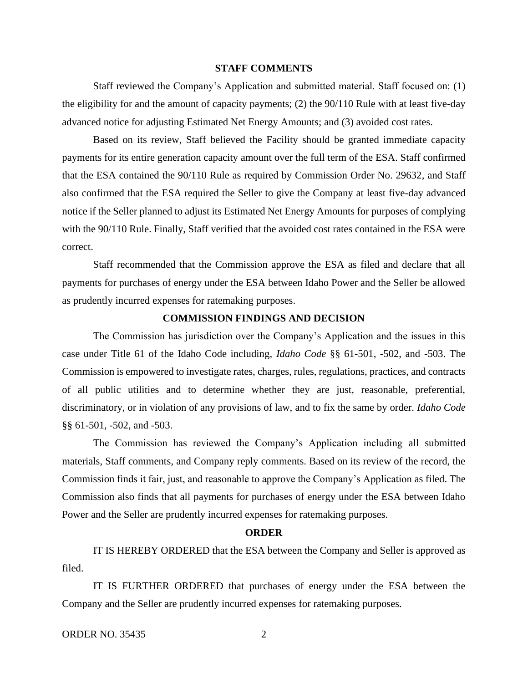## **STAFF COMMENTS**

Staff reviewed the Company's Application and submitted material. Staff focused on: (1) the eligibility for and the amount of capacity payments; (2) the 90/110 Rule with at least five-day advanced notice for adjusting Estimated Net Energy Amounts; and (3) avoided cost rates.

Based on its review, Staff believed the Facility should be granted immediate capacity payments for its entire generation capacity amount over the full term of the ESA. Staff confirmed that the ESA contained the 90/110 Rule as required by Commission Order No. 29632, and Staff also confirmed that the ESA required the Seller to give the Company at least five-day advanced notice if the Seller planned to adjust its Estimated Net Energy Amounts for purposes of complying with the 90/110 Rule. Finally, Staff verified that the avoided cost rates contained in the ESA were correct.

Staff recommended that the Commission approve the ESA as filed and declare that all payments for purchases of energy under the ESA between Idaho Power and the Seller be allowed as prudently incurred expenses for ratemaking purposes.

## **COMMISSION FINDINGS AND DECISION**

The Commission has jurisdiction over the Company's Application and the issues in this case under Title 61 of the Idaho Code including, *Idaho Code* §§ 61-501, -502, and -503. The Commission is empowered to investigate rates, charges, rules, regulations, practices, and contracts of all public utilities and to determine whether they are just, reasonable, preferential, discriminatory, or in violation of any provisions of law, and to fix the same by order. *Idaho Code* §§ 61-501, -502, and -503.

The Commission has reviewed the Company's Application including all submitted materials, Staff comments, and Company reply comments. Based on its review of the record, the Commission finds it fair, just, and reasonable to approve the Company's Application as filed. The Commission also finds that all payments for purchases of energy under the ESA between Idaho Power and the Seller are prudently incurred expenses for ratemaking purposes.

## **ORDER**

IT IS HEREBY ORDERED that the ESA between the Company and Seller is approved as filed.

IT IS FURTHER ORDERED that purchases of energy under the ESA between the Company and the Seller are prudently incurred expenses for ratemaking purposes.

ORDER NO. 35435 2